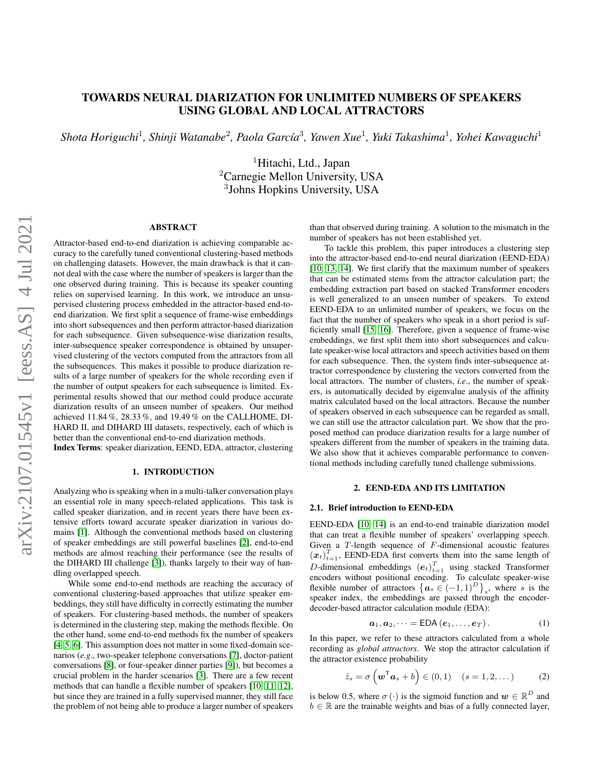# TOWARDS NEURAL DIARIZATION FOR UNLIMITED NUMBERS OF SPEAKERS USING GLOBAL AND LOCAL ATTRACTORS

 $\mathcal{S}$ hota Horiguchi<sup>1</sup>, Shinji Watanabe<sup>2</sup>, Paola García<sup>3</sup>, Yawen Xue<sup>1</sup>, Yuki Takashima<sup>1</sup>, Yohei Kawaguchi<sup>1</sup>

<sup>1</sup>Hitachi, Ltd., Japan <sup>2</sup>Carnegie Mellon University, USA 3 Johns Hopkins University, USA

## ABSTRACT

Attractor-based end-to-end diarization is achieving comparable accuracy to the carefully tuned conventional clustering-based methods on challenging datasets. However, the main drawback is that it cannot deal with the case where the number of speakers is larger than the one observed during training. This is because its speaker counting relies on supervised learning. In this work, we introduce an unsupervised clustering process embedded in the attractor-based end-toend diarization. We first split a sequence of frame-wise embeddings into short subsequences and then perform attractor-based diarization for each subsequence. Given subsequence-wise diarization results, inter-subsequence speaker correspondence is obtained by unsupervised clustering of the vectors computed from the attractors from all the subsequences. This makes it possible to produce diarization results of a large number of speakers for the whole recording even if the number of output speakers for each subsequence is limited. Experimental results showed that our method could produce accurate diarization results of an unseen number of speakers. Our method achieved 11.84 %, 28.33 %, and 19.49 % on the CALLHOME, DI-HARD II, and DIHARD III datasets, respectively, each of which is better than the conventional end-to-end diarization methods.

Index Terms: speaker diarization, EEND, EDA, attractor, clustering

## 1. INTRODUCTION

Analyzing who is speaking when in a multi-talker conversation plays an essential role in many speech-related applications. This task is called speaker diarization, and in recent years there have been extensive efforts toward accurate speaker diarization in various domains [\[1\]](#page-6-0). Although the conventional methods based on clustering of speaker embeddings are still powerful baselines [\[2\]](#page-6-1), end-to-end methods are almost reaching their performance (see the results of the DIHARD III challenge [\[3\]](#page-6-2)), thanks largely to their way of handling overlapped speech.

While some end-to-end methods are reaching the accuracy of conventional clustering-based approaches that utilize speaker embeddings, they still have difficulty in correctly estimating the number of speakers. For clustering-based methods, the number of speakers is determined in the clustering step, making the methods flexible. On the other hand, some end-to-end methods fix the number of speakers [\[4,](#page-6-3) [5,](#page-6-4) [6\]](#page-6-5). This assumption does not matter in some fixed-domain scenarios (*e.g*., two-speaker telephone conversations [\[7\]](#page-6-6), doctor-patient conversations [\[8\]](#page-6-7), or four-speaker dinner parties [\[9\]](#page-6-8)), but becomes a crucial problem in the harder scenarios [\[3\]](#page-6-2). There are a few recent methods that can handle a flexible number of speakers [\[10,](#page-6-9) [11,](#page-6-10) [12\]](#page-6-11), but since they are trained in a fully supervised manner, they still face the problem of not being able to produce a larger number of speakers

than that observed during training. A solution to the mismatch in the number of speakers has not been established yet.

To tackle this problem, this paper introduces a clustering step into the attractor-based end-to-end neural diarization (EEND-EDA) [\[10,](#page-6-9) [13,](#page-6-12) [14\]](#page-6-13). We first clarify that the maximum number of speakers that can be estimated stems from the attractor calculation part; the embedding extraction part based on stacked Transformer encoders is well generalized to an unseen number of speakers. To extend EEND-EDA to an unlimited number of speakers, we focus on the fact that the number of speakers who speak in a short period is sufficiently small [\[15,](#page-6-14) [16\]](#page-6-15). Therefore, given a sequence of frame-wise embeddings, we first split them into short subsequences and calculate speaker-wise local attractors and speech activities based on them for each subsequence. Then, the system finds inter-subsequence attractor correspondence by clustering the vectors converted from the local attractors. The number of clusters, *i.e*., the number of speakers, is automatically decided by eigenvalue analysis of the affinity matrix calculated based on the local attractors. Because the number of speakers observed in each subsequence can be regarded as small, we can still use the attractor calculation part. We show that the proposed method can produce diarization results for a large number of speakers different from the number of speakers in the training data. We also show that it achieves comparable performance to conventional methods including carefully tuned challenge submissions.

## 2. EEND-EDA AND ITS LIMITATION

#### <span id="page-0-2"></span>2.1. Brief introduction to EEND-EDA

EEND-EDA [\[10,](#page-6-9) [14\]](#page-6-13) is an end-to-end trainable diarization model that can treat a flexible number of speakers' overlapping speech. Given a  $T$ -length sequence of  $F$ -dimensional acoustic features  $(x_t)_{t=1}^T$ , EEND-EDA first converts them into the same length of D-dimensional embeddings  $(e_t)_{t=1}^T$  using stacked Transformer encoders without positional encoding. To calculate speaker-wise flexible number of attractors  $\{a_s \in (-1,1)^D\}$ , where s is the speaker index, the embeddings are passed through the encoderdecoder-based attractor calculation module (EDA):

<span id="page-0-1"></span><span id="page-0-0"></span>
$$
\boldsymbol{a}_1, \boldsymbol{a}_2, \dots = \text{EDA}\left(\boldsymbol{e}_1, \dots, \boldsymbol{e}_T\right). \tag{1}
$$

In this paper, we refer to these attractors calculated from a whole recording as *global attractors*. We stop the attractor calculation if the attractor existence probability

$$
\hat{z}_s = \sigma\left(\boldsymbol{w}^{\mathsf{T}}\boldsymbol{a}_s + b\right) \in (0,1) \quad (s = 1,2,\dots) \tag{2}
$$

is below 0.5, where  $\sigma(\cdot)$  is the sigmoid function and  $\boldsymbol{w} \in \mathbb{R}^D$  and  $b \in \mathbb{R}$  are the trainable weights and bias of a fully connected layer,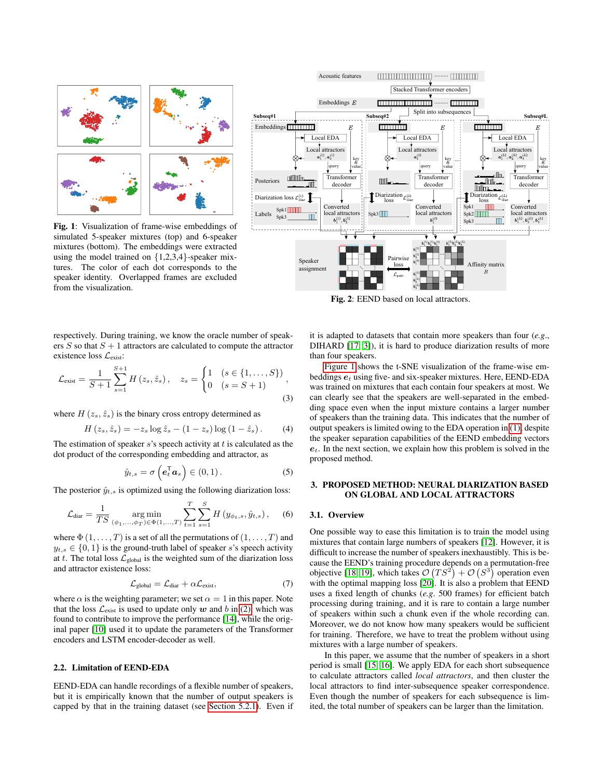<span id="page-1-0"></span>

Fig. 1: Visualization of frame-wise embeddings of simulated 5-speaker mixtures (top) and 6-speaker mixtures (bottom). The embeddings were extracted using the model trained on  $\{1,2,3,4\}$ -speaker mixtures. The color of each dot corresponds to the speaker identity. Overlapped frames are excluded from the visualization.



Fig. 2: EEND based on local attractors.

respectively. During training, we know the oracle number of speakers  $S$  so that  $S + 1$  attractors are calculated to compute the attractor existence loss  $\mathcal{L}_{\text{exist}}$ :

$$
\mathcal{L}_{\text{exist}} = \frac{1}{S+1} \sum_{s=1}^{S+1} H(z_s, \hat{z}_s), \quad z_s = \begin{cases} 1 & (s \in \{1, \dots, S\}) \\ 0 & (s = S+1) \end{cases},
$$
\n(3)

where  $H(z_s, \hat{z}_s)$  is the binary cross entropy determined as

$$
H(zs, \hat{z}s) = -zs \log \hat{z}s - (1 - zs) \log (1 - \hat{z}s). \qquad (4)
$$

The estimation of speaker  $s$ 's speech activity at  $t$  is calculated as the dot product of the corresponding embedding and attractor, as

$$
\hat{y}_{t,s} = \sigma\left(\boldsymbol{e}_t^{\mathsf{T}} \boldsymbol{a}_s\right) \in (0,1).
$$
 (5)

The posterior  $\hat{y}_{t,s}$  is optimized using the following diarization loss:

$$
\mathcal{L}_{\text{diar}} = \frac{1}{TS} \operatorname*{arg\,min}_{(\phi_1, \dots, \phi_T) \in \Phi(1, \dots, T)} \sum_{t=1}^{T} \sum_{s=1}^{S} H(y_{\phi_t, s}, \hat{y}_{t, s}), \quad (6)
$$

where  $\Phi(1,\ldots,T)$  is a set of all the permutations of  $(1,\ldots,T)$  and  $y_{t,s} \in \{0,1\}$  is the ground-truth label of speaker s's speech activity at t. The total loss  $\mathcal{L}_{\text{global}}$  is the weighted sum of the diarization loss and attractor existence loss:

$$
\mathcal{L}_{\text{global}} = \mathcal{L}_{\text{diar}} + \alpha \mathcal{L}_{\text{exist}},\tag{7}
$$

where  $\alpha$  is the weighting parameter; we set  $\alpha = 1$  in this paper. Note that the loss  $\mathcal{L}_{\text{exist}}$  is used to update only w and b in [\(2\),](#page-0-0) which was found to contribute to improve the performance [\[14\]](#page-6-13), while the original paper [\[10\]](#page-6-9) used it to update the parameters of the Transformer encoders and LSTM encoder-decoder as well.

## 2.2. Limitation of EEND-EDA

EEND-EDA can handle recordings of a flexible number of speakers, but it is empirically known that the number of output speakers is capped by that in the training dataset (see [Section 5.2.1\)](#page-4-0). Even if it is adapted to datasets that contain more speakers than four (*e.g*., DIHARD [\[17,](#page-6-16) [3\]](#page-6-2)), it is hard to produce diarization results of more than four speakers.

<span id="page-1-2"></span>[Figure 1](#page-1-0) shows the t-SNE visualization of the frame-wise embeddings  $e_t$  using five- and six-speaker mixtures. Here, EEND-EDA was trained on mixtures that each contain four speakers at most. We can clearly see that the speakers are well-separated in the embedding space even when the input mixture contains a larger number of speakers than the training data. This indicates that the number of output speakers is limited owing to the EDA operation in [\(1\),](#page-0-1) despite the speaker separation capabilities of the EEND embedding vectors  $e_t$ . In the next section, we explain how this problem is solved in the proposed method.

## <span id="page-1-4"></span>3. PROPOSED METHOD: NEURAL DIARIZATION BASED ON GLOBAL AND LOCAL ATTRACTORS

#### <span id="page-1-1"></span>3.1. Overview

<span id="page-1-3"></span>One possible way to ease this limitation is to train the model using mixtures that contain large numbers of speakers [\[12\]](#page-6-11). However, it is difficult to increase the number of speakers inexhaustibly. This is because the EEND's training procedure depends on a permutation-free objective [\[18,](#page-6-17) [19\]](#page-6-18), which takes  $\mathcal{O}(TS^2) + \mathcal{O}(S^3)$  operation even with the optimal mapping loss [\[20\]](#page-6-19). It is also a problem that EEND uses a fixed length of chunks (*e.g*. 500 frames) for efficient batch processing during training, and it is rare to contain a large number of speakers within such a chunk even if the whole recording can. Moreover, we do not know how many speakers would be sufficient for training. Therefore, we have to treat the problem without using mixtures with a large number of speakers.

In this paper, we assume that the number of speakers in a short period is small [\[15,](#page-6-14) [16\]](#page-6-15). We apply EDA for each short subsequence to calculate attractors called *local attractors*, and then cluster the local attractors to find inter-subsequence speaker correspondence. Even though the number of speakers for each subsequence is limited, the total number of speakers can be larger than the limitation.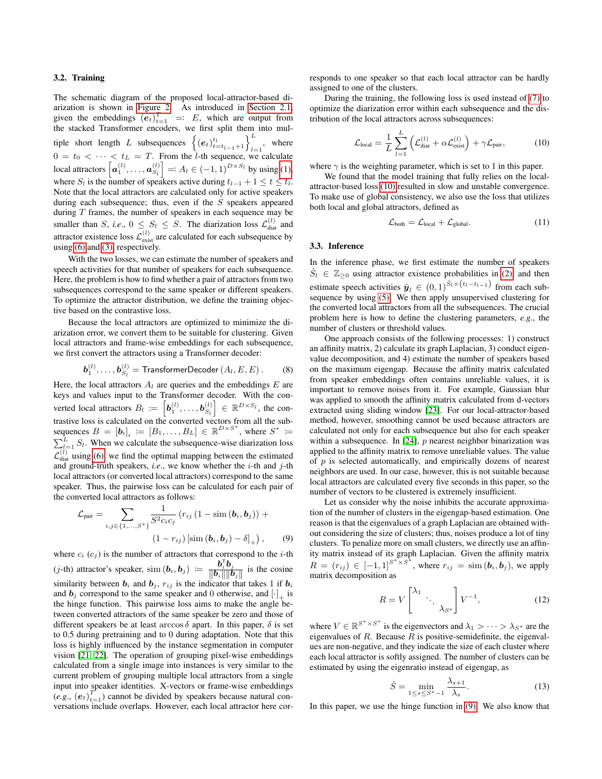## 3.2. Training

 $\mathcal L$ 

The schematic diagram of the proposed local-attractor-based diarization is shown in [Figure 2.](#page-1-0) As introduced in [Section 2.1,](#page-0-2) given the embeddings  $(e_t)_{t=1}^T = E$ , which are output from the stacked Transformer encoders, we first split them into multiple short length L subsequences  $\left\{ (e_t)_{t=t_{l-1}+1}^{t_l} \right\}_{l=1}^L$ , where  $0 = t_0 < \cdots < t_L = T$ . From the *l*-th sequence, we calculate local attractors  $\left[\boldsymbol{a}_1^{(l)},\ldots,\boldsymbol{a}_{S_l}^{(l)}\right] =: A_l \in (-1,1)^{D \times S_l}$  by using [\(1\),](#page-0-1) where  $S_l$  is the number of speakers active during  $t_{l-1} + 1 \le t \le t_l$ . Note that the local attractors are calculated only for active speakers during each subsequence; thus, even if the  $S$  speakers appeared during  $T$  frames, the number of speakers in each sequence may be smaller than S, *i.e.*,  $0 \leq S_l \leq S$ . The diarization loss  $\mathcal{L}_{\text{diar}}^{(l)}$  and attractor existence loss  $\mathcal{L}^{(l)}_{\text{exist}}$  are calculated for each subsequence by using [\(6\)](#page-1-1) and [\(3\),](#page-1-2) respectively.

With the two losses, we can estimate the number of speakers and speech activities for that number of speakers for each subsequence. Here, the problem is how to find whether a pair of attractors from two subsequences correspond to the same speaker or different speakers. To optimize the attractor distribution, we define the training objective based on the contrastive loss.

Because the local attractors are optimized to minimize the diarization error, we convert them to be suitable for clustering. Given local attractors and frame-wise embeddings for each subsequence, we first convert the attractors using a Transformer decoder:

$$
\boldsymbol{b}_1^{(l)}, \ldots, \boldsymbol{b}_{S_l}^{(l)} = \text{TransformerDecoder}\left(A_l, E, E\right). \tag{8}
$$

Here, the local attractors  $A_l$  are queries and the embeddings  $E$  are keys and values input to the Transformer decoder. With the converted local attractors  $B_l := \left[\bm{b}_1^{(l)}, \ldots, \bm{b}_{S_l}^{(l)}\right] \in \mathbb{R}^{D \times S_l}$ , the contrastive loss is calculated on the converted vectors from all the subsequences  $B = [\mathbf{b}_i]_i := [B_1, \ldots, B_L] \in \mathbb{R}^{D \times S^*}$ , where  $S^* :=$  $\sum_{l=1}^{L} S_l$ . When we calculate the subsequence-wise diarization loss  $\mathcal{L}_{diar}^{(l)}$  using [\(6\),](#page-1-1) we find the optimal mapping between the estimated and ground-truth speakers, *i.e*., we know whether the i-th and j-th local attractors (or converted local attractors) correspond to the same speaker. Thus, the pairwise loss can be calculated for each pair of the converted local attractors as follows:

pair = 
$$
\sum_{i,j \in \{1,...,S^*\}} \frac{1}{S^2 c_i c_j} (r_{ij} (1 - \text{sim} (b_i, b_j)) +
$$

$$
(1 - r_{ij}) [\text{sim} (b_i, b_j) - \delta]_+), \qquad (9)
$$

where  $c_i$  ( $c_j$ ) is the number of attractors that correspond to the *i*-th (j-th) attractor's speaker,  $\text{sim}(\boldsymbol{b}_i, \boldsymbol{b}_j) := \frac{\boldsymbol{b}_i^{\text{T}} \boldsymbol{b}_j}{\|\boldsymbol{b}_i\|\|\boldsymbol{b}_j\|}$  $\frac{\partial_i \partial_j}{\|\boldsymbol{b}_i\| \|\boldsymbol{b}_j\|}$  is the cosine similarity between  $b_i$  and  $b_j$ ,  $r_{ij}$  is the indicator that takes 1 if  $b_i$ and  $\mathbf{b}_j$  correspond to the same speaker and 0 otherwise, and  $[\cdot]_+$  is the hinge function. This pairwise loss aims to make the angle between converted attractors of the same speaker be zero and those of different speakers be at least arccos  $\delta$  apart. In this paper,  $\delta$  is set to 0.5 during pretraining and to 0 during adaptation. Note that this loss is highly influenced by the instance segmentation in computer vision [\[21,](#page-6-20) [22\]](#page-6-21). The operation of grouping pixel-wise embeddings calculated from a single image into instances is very similar to the current problem of grouping multiple local attractors from a single input into speaker identities. X-vectors or frame-wise embeddings  $(e.g., (e_t)_{t=1}^T)$  cannot be divided by speakers because natural conversations include overlaps. However, each local attractor here corresponds to one speaker so that each local attractor can be hardly assigned to one of the clusters.

During the training, the following loss is used instead of [\(7\)](#page-1-3) to optimize the diarization error within each subsequence and the distribution of the local attractors across subsequences:

$$
\mathcal{L}_{\text{local}} = \frac{1}{L} \sum_{l=1}^{L} \left( \mathcal{L}_{\text{diar}}^{(l)} + \alpha \mathcal{L}_{\text{exist}}^{(l)} \right) + \gamma \mathcal{L}_{\text{pair}}, \tag{10}
$$

where  $\gamma$  is the weighting parameter, which is set to 1 in this paper.

We found that the model training that fully relies on the localattractor-based loss [\(10\)](#page-2-0) resulted in slow and unstable convergence. To make use of global consistency, we also use the loss that utilizes both local and global attractors, defined as

<span id="page-2-3"></span><span id="page-2-0"></span>
$$
\mathcal{L}_{\text{both}} = \mathcal{L}_{\text{local}} + \mathcal{L}_{\text{global}}.\tag{11}
$$

#### 3.3. Inference

In the inference phase, we first estimate the number of speakers  $\tilde{S}_l \in \mathbb{Z}_{\geq 0}$  using attractor existence probabilities in [\(2\),](#page-0-0) and then estimate speech activities  $\hat{y}_l \in (0,1)^{\hat{S}_l \times (t_l - t_{l-1})}$  from each subsequence by using [\(5\).](#page-1-4) We then apply unsupervised clustering for the converted local attractors from all the subsequences. The crucial problem here is how to define the clustering parameters, *e.g*., the number of clusters or threshold values.

One approach consists of the following processes: 1) construct an affinity matrix, 2) calculate its graph Laplacian, 3) conduct eigenvalue decomposition, and 4) estimate the number of speakers based on the maximum eigengap. Because the affinity matrix calculated from speaker embeddings often contains unreliable values, it is important to remove noises from it. For example, Gaussian blur was applied to smooth the affinity matrix calculated from d-vectors extracted using sliding window [\[23\]](#page-6-22). For our local-attractor-based method, however, smoothing cannot be used because attractors are calculated not only for each subsequence but also for each speaker within a subsequence. In [\[24\]](#page-6-23), p nearest neighbor binarization was applied to the affinity matrix to remove unreliable values. The value of  $p$  is selected automatically, and empirically dozens of nearest neighbors are used. In our case, however, this is not suitable because local attractors are calculated every five seconds in this paper, so the number of vectors to be clustered is extremely insufficient.

<span id="page-2-1"></span>Let us consider why the noise inhibits the accurate approximation of the number of clusters in the eigengap-based estimation. One reason is that the eigenvalues of a graph Laplacian are obtained without considering the size of clusters; thus, noises produce a lot of tiny clusters. To penalize more on small clusters, we directly use an affinity matrix instead of its graph Laplacian. Given the affinity matrix  $R = (r_{ij}) \in [-1, 1]^{S^* \times S^*}$ , where  $r_{ij} = \text{sim}(\boldsymbol{b}_i, \boldsymbol{b}_j)$ , we apply matrix decomposition as

<span id="page-2-2"></span>
$$
R = V \begin{bmatrix} \lambda_1 & \cdots & \\ & \ddots & \\ & & \lambda_{S^*} \end{bmatrix} V^{-1}, \tag{12}
$$

where  $V \in \mathbb{R}^{S^* \times S^*}$  is the eigenvectors and  $\lambda_1 > \cdots > \lambda_{S^*}$  are the eigenvalues of  $R$ . Because  $R$  is positive-semidefinite, the eigenvalues are non-negative, and they indicate the size of each cluster where each local attractor is softly assigned. The number of clusters can be estimated by using the eigenratio instead of eigengap, as

$$
\hat{S} = \min_{1 \le s \le S^* - 1} \frac{\lambda_{s+1}}{\lambda_s}.
$$
\n(13)

In this paper, we use the hinge function in [\(9\).](#page-2-1) We also know that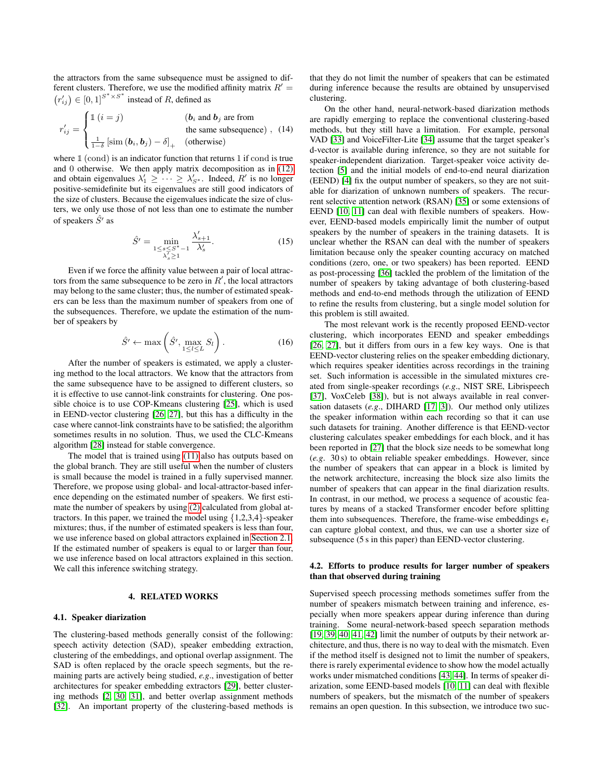the attractors from the same subsequence must be assigned to different clusters. Therefore, we use the modified affinity matrix  $R' =$  $(r'_{ij}) \in [0,1]^{S^* \times S^*}$  instead of R, defined as

$$
r'_{ij} = \begin{cases} \mathbb{1} \ (i = j) & \text{(}b_i \text{ and } b_j \text{ are from} \\ & \text{the same subsequence} \text{)}, \ \ (14) \\ \frac{1}{1-\delta} \ [\text{sim } (\mathbf{b}_i, \mathbf{b}_j) - \delta]_+ & \text{(otherwise)} \end{cases}
$$

where  $\mathbbm{1}$  (cond) is an indicator function that returns 1 if cond is true and 0 otherwise. We then apply matrix decomposition as in [\(12\)](#page-2-2) and obtain eigenvalues  $\lambda'_1 \geq \cdots \geq \lambda'_{S^*}$ . Indeed,  $R'$  is no longer positive-semidefinite but its eigenvalues are still good indicators of the size of clusters. Because the eigenvalues indicate the size of clusters, we only use those of not less than one to estimate the number of speakers  $\hat{S}^{\prime}$  as

$$
\hat{S}' = \min_{\substack{1 \le s \le S^* - 1 \\ \lambda_s' \ge 1}} \frac{\lambda_{s+1}'}{\lambda_s'}.
$$
 (15)

Even if we force the affinity value between a pair of local attractors from the same subsequence to be zero in  $R'$ , the local attractors may belong to the same cluster; thus, the number of estimated speakers can be less than the maximum number of speakers from one of the subsequences. Therefore, we update the estimation of the number of speakers by

$$
\hat{S}' \leftarrow \max\left(\hat{S}', \max_{1 \le l \le L} S_l\right). \tag{16}
$$

After the number of speakers is estimated, we apply a clustering method to the local attractors. We know that the attractors from the same subsequence have to be assigned to different clusters, so it is effective to use cannot-link constraints for clustering. One possible choice is to use COP-Kmeans clustering [\[25\]](#page-6-24), which is used in EEND-vector clustering [\[26,](#page-6-25) [27\]](#page-6-26), but this has a difficulty in the case where cannot-link constraints have to be satisfied; the algorithm sometimes results in no solution. Thus, we used the CLC-Kmeans algorithm [\[28\]](#page-6-27) instead for stable convergence.

The model that is trained using [\(11\)](#page-2-3) also has outputs based on the global branch. They are still useful when the number of clusters is small because the model is trained in a fully supervised manner. Therefore, we propose using global- and local-attractor-based inference depending on the estimated number of speakers. We first estimate the number of speakers by using [\(2\)](#page-0-0) calculated from global attractors. In this paper, we trained the model using  $\{1,2,3,4\}$ -speaker mixtures; thus, if the number of estimated speakers is less than four, we use inference based on global attractors explained in [Section 2.1.](#page-0-2) If the estimated number of speakers is equal to or larger than four, we use inference based on local attractors explained in this section. We call this inference switching strategy.

#### 4. RELATED WORKS

#### 4.1. Speaker diarization

The clustering-based methods generally consist of the following: speech activity detection (SAD), speaker embedding extraction, clustering of the embeddings, and optional overlap assignment. The SAD is often replaced by the oracle speech segments, but the remaining parts are actively being studied, *e.g*., investigation of better architectures for speaker embedding extractors [\[29\]](#page-7-0), better clustering methods [\[2,](#page-6-1) [30,](#page-7-1) [31\]](#page-7-2), and better overlap assignment methods [\[32\]](#page-7-3). An important property of the clustering-based methods is

that they do not limit the number of speakers that can be estimated during inference because the results are obtained by unsupervised clustering.

On the other hand, neural-network-based diarization methods are rapidly emerging to replace the conventional clustering-based methods, but they still have a limitation. For example, personal VAD [\[33\]](#page-7-4) and VoiceFilter-Lite [\[34\]](#page-7-5) assume that the target speaker's d-vector is available during inference, so they are not suitable for speaker-independent diarization. Target-speaker voice activity detection [\[5\]](#page-6-4) and the initial models of end-to-end neural diarization (EEND) [\[4\]](#page-6-3) fix the output number of speakers, so they are not suitable for diarization of unknown numbers of speakers. The recurrent selective attention network (RSAN) [\[35\]](#page-7-6) or some extensions of EEND [\[10,](#page-6-9) [11\]](#page-6-10) can deal with flexible numbers of speakers. However, EEND-based models empirically limit the number of output speakers by the number of speakers in the training datasets. It is unclear whether the RSAN can deal with the number of speakers limitation because only the speaker counting accuracy on matched conditions (zero, one, or two speakers) has been reported. EEND as post-processing [\[36\]](#page-7-7) tackled the problem of the limitation of the number of speakers by taking advantage of both clustering-based methods and end-to-end methods through the utilization of EEND to refine the results from clustering, but a single model solution for this problem is still awaited.

The most relevant work is the recently proposed EEND-vector clustering, which incorporates EEND and speaker embeddings [\[26,](#page-6-25) [27\]](#page-6-26), but it differs from ours in a few key ways. One is that EEND-vector clustering relies on the speaker embedding dictionary, which requires speaker identities across recordings in the training set. Such information is accessible in the simulated mixtures created from single-speaker recordings (*e.g*., NIST SRE, Librispeech [\[37\]](#page-7-8), VoxCeleb [\[38\]](#page-7-9)), but is not always available in real conversation datasets (*e.g*., DIHARD [\[17,](#page-6-16) [3\]](#page-6-2)). Our method only utilizes the speaker information within each recording so that it can use such datasets for training. Another difference is that EEND-vector clustering calculates speaker embeddings for each block, and it has been reported in [\[27\]](#page-6-26) that the block size needs to be somewhat long (*e.g*. 30 s) to obtain reliable speaker embeddings. However, since the number of speakers that can appear in a block is limited by the network architecture, increasing the block size also limits the number of speakers that can appear in the final diarization results. In contrast, in our method, we process a sequence of acoustic features by means of a stacked Transformer encoder before splitting them into subsequences. Therefore, the frame-wise embeddings  $e_t$ can capture global context, and thus, we can use a shorter size of subsequence (5 s in this paper) than EEND-vector clustering.

## 4.2. Efforts to produce results for larger number of speakers than that observed during training

Supervised speech processing methods sometimes suffer from the number of speakers mismatch between training and inference, especially when more speakers appear during inference than during training. Some neural-network-based speech separation methods [\[19,](#page-6-18) [39,](#page-7-10) [40,](#page-7-11) [41,](#page-7-12) [42\]](#page-7-13) limit the number of outputs by their network architecture, and thus, there is no way to deal with the mismatch. Even if the method itself is designed not to limit the number of speakers, there is rarely experimental evidence to show how the model actually works under mismatched conditions [\[43,](#page-7-14) [44\]](#page-7-15). In terms of speaker diarization, some EEND-based models [\[10,](#page-6-9) [11\]](#page-6-10) can deal with flexible numbers of speakers, but the mismatch of the number of speakers remains an open question. In this subsection, we introduce two suc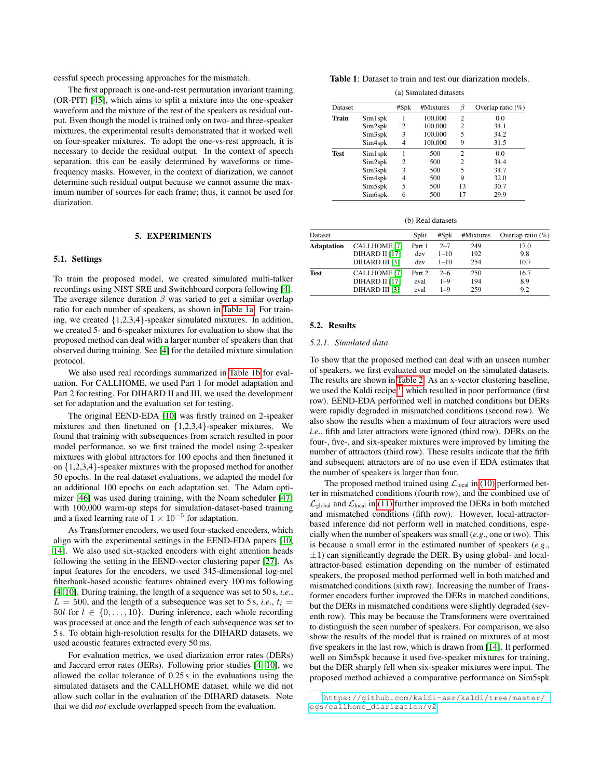cessful speech processing approaches for the mismatch.

The first approach is one-and-rest permutation invariant training (OR-PIT) [\[45\]](#page-7-16), which aims to split a mixture into the one-speaker waveform and the mixture of the rest of the speakers as residual output. Even though the model is trained only on two- and three-speaker mixtures, the experimental results demonstrated that it worked well on four-speaker mixtures. To adopt the one-vs-rest approach, it is necessary to decide the residual output. In the context of speech separation, this can be easily determined by waveforms or timefrequency masks. However, in the context of diarization, we cannot determine such residual output because we cannot assume the maximum number of sources for each frame; thus, it cannot be used for diarization.

## 5. EXPERIMENTS

## 5.1. Settings

To train the proposed model, we created simulated multi-talker recordings using NIST SRE and Switchboard corpora following [\[4\]](#page-6-3). The average silence duration  $\beta$  was varied to get a similar overlap ratio for each number of speakers, as shown in [Table 1a.](#page-4-1) For training, we created {1,2,3,4}-speaker simulated mixtures. In addition, we created 5- and 6-speaker mixtures for evaluation to show that the proposed method can deal with a larger number of speakers than that observed during training. See [\[4\]](#page-6-3) for the detailed mixture simulation protocol.

We also used real recordings summarized in [Table 1b](#page-4-2) for evaluation. For CALLHOME, we used Part 1 for model adaptation and Part 2 for testing. For DIHARD II and III, we used the development set for adaptation and the evaluation set for testing.

The original EEND-EDA [\[10\]](#page-6-9) was firstly trained on 2-speaker mixtures and then finetuned on {1,2,3,4}-speaker mixtures. We found that training with subsequences from scratch resulted in poor model performance, so we first trained the model using 2-speaker mixtures with global attractors for 100 epochs and then finetuned it on {1,2,3,4}-speaker mixtures with the proposed method for another 50 epochs. In the real dataset evaluations, we adapted the model for an additional 100 epochs on each adaptation set. The Adam optimizer [\[46\]](#page-7-17) was used during training, with the Noam scheduler [\[47\]](#page-7-18) with 100,000 warm-up steps for simulation-dataset-based training and a fixed learning rate of  $1 \times 10^{-5}$  for adaptation.

As Transformer encoders, we used four-stacked encoders, which align with the experimental settings in the EEND-EDA papers [\[10,](#page-6-9) [14\]](#page-6-13). We also used six-stacked encoders with eight attention heads following the setting in the EEND-vector clustering paper [\[27\]](#page-6-26). As input features for the encoders, we used 345-dimensional log-mel filterbank-based acoustic features obtained every 100 ms following [\[4,](#page-6-3) [10\]](#page-6-9). During training, the length of a sequence was set to 50 s, *i.e*.,  $L = 500$ , and the length of a subsequence was set to 5 s, *i.e.*,  $t_l =$ 50l for  $l \in \{0, \ldots, 10\}$ . During inference, each whole recording was processed at once and the length of each subsequence was set to 5 s. To obtain high-resolution results for the DIHARD datasets, we used acoustic features extracted every 50 ms.

For evaluation metrics, we used diarization error rates (DERs) and Jaccard error rates (JERs). Following prior studies [\[4,](#page-6-3) [10\]](#page-6-9), we allowed the collar tolerance of 0.25 s in the evaluations using the simulated datasets and the CALLHOME dataset, while we did not allow such collar in the evaluation of the DIHARD datasets. Note that we did *not* exclude overlapped speech from the evaluation.

Table 1: Dataset to train and test our diarization models.

(a) Simulated datasets

<span id="page-4-1"></span>

| <b>Dataset</b> |                     | #Spk | #Mixtures | B  | Overlap ratio $(\%)$ |
|----------------|---------------------|------|-----------|----|----------------------|
| Train          | Sim1spk             |      | 100,000   | 2  | 0.0                  |
|                | Sim2spk             | 2    | 100,000   | 2  | 34.1                 |
|                | Sim3spk             | 3    | 100,000   | 5  | 34.2                 |
|                | Sim4spk             | 4    | 100,000   | 9  | 31.5                 |
| <b>Test</b>    | Sim1spk             |      | 500       | 2  | 0.0                  |
|                | Sim2spk             | 2    | 500       | 2  | 34.4                 |
|                | Sim3spk             | 3    | 500       | 5  | 34.7                 |
|                | Sim4spk             | 4    | 500       | 9  | 32.0                 |
|                | Sim <sub>5spk</sub> | 5    | 500       | 13 | 30.7                 |
|                | Sim <sub>6spk</sub> | 6    | 500       | 17 | 29.9                 |

(b) Real datasets

<span id="page-4-2"></span>

| Dataset           |                     | Split  | $#S_{D}$ | #Mixtures | Overlap ratio $(\%)$ |
|-------------------|---------------------|--------|----------|-----------|----------------------|
| <b>Adaptation</b> | <b>CALLHOME</b> [7] | Part 1 | $2 - 7$  | 249       | 17.0                 |
|                   | DIHARD II [17]      | dev    | $1 - 10$ | 192       | 9.8                  |
|                   | DIHARD III [3]      | dev    | $1 - 10$ | 254       | 10.7                 |
| <b>Test</b>       | <b>CALLHOME</b> [7] | Part 2 | $2 - 6$  | 250       | 16.7                 |
|                   | DIHARD II [17]      | eval   | $1 - 9$  | 194       | 8.9                  |
|                   | DIHARD III [3]      | eval   | $1 - 9$  | 259       | 9.2                  |

#### 5.2. Results

#### <span id="page-4-0"></span>*5.2.1. Simulated data*

To show that the proposed method can deal with an unseen number of speakers, we first evaluated our model on the simulated datasets. The results are shown in [Table 2.](#page-5-0) As an x-vector clustering baseline, we used the Kaldi recipe<sup>[1](#page-4-3)</sup>, which resulted in poor performance (first row). EEND-EDA performed well in matched conditions but DERs were rapidly degraded in mismatched conditions (second row). We also show the results when a maximum of four attractors were used *i.e.*, fifth and later attractors were ignored (third row). DERs on the four-, five-, and six-speaker mixtures were improved by limiting the number of attractors (third row). These results indicate that the fifth and subsequent attractors are of no use even if EDA estimates that the number of speakers is larger than four.

The proposed method trained using  $\mathcal{L}_{local}$  in [\(10\)](#page-2-0) performed better in mismatched conditions (fourth row), and the combined use of  $\mathcal{L}_{\text{global}}$  and  $\mathcal{L}_{\text{local}}$  in [\(11\)](#page-2-3) further improved the DERs in both matched and mismatched conditions (fifth row). However, local-attractorbased inference did not perform well in matched conditions, especially when the number of speakers was small (*e.g*., one or two). This is because a small error in the estimated number of speakers (*e.g*.,  $\pm$ 1) can significantly degrade the DER. By using global- and localattractor-based estimation depending on the number of estimated speakers, the proposed method performed well in both matched and mismatched conditions (sixth row). Increasing the number of Transformer encoders further improved the DERs in matched conditions, but the DERs in mismatched conditions were slightly degraded (seventh row). This may be because the Transformers were overtrained to distinguish the seen number of speakers. For comparison, we also show the results of the model that is trained on mixtures of at most five speakers in the last row, which is drawn from [\[14\]](#page-6-13). It performed well on Sim5spk because it used five-speaker mixtures for training, but the DER sharply fell when six-speaker mixtures were input. The proposed method achieved a comparative performance on Sim5spk

<span id="page-4-3"></span><sup>1</sup>[https://github.com/kaldi-asr/kaldi/tree/master/](https://github.com/kaldi-asr/kaldi/tree/master/egs/callhome_diarization/v2) [egs/callhome\\_diarization/v2](https://github.com/kaldi-asr/kaldi/tree/master/egs/callhome_diarization/v2)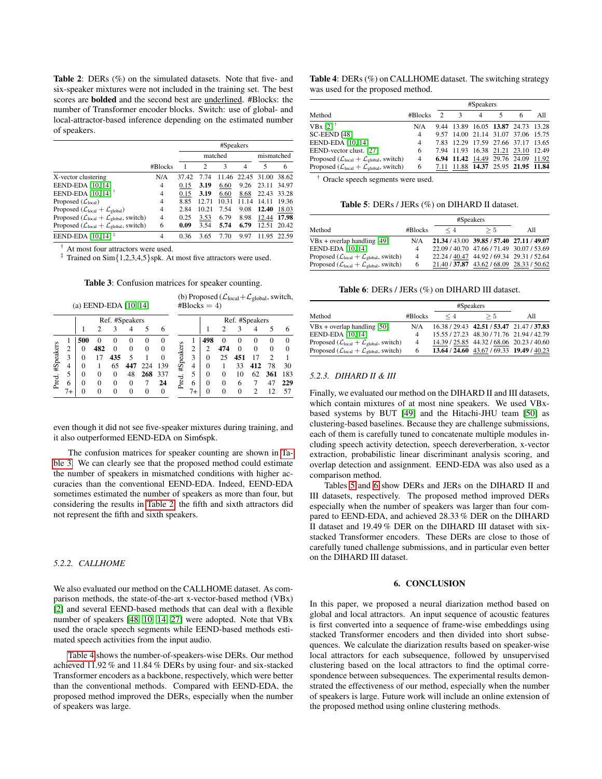<span id="page-5-0"></span>Table 2: DERs (%) on the simulated datasets. Note that five- and six-speaker mixtures were not included in the training set. The best scores are bolded and the second best are underlined. #Blocks: the number of Transformer encoder blocks. Switch: use of global- and local-attractor-based inference depending on the estimated number of speakers.

|                                                                   |                | #Speakers |                |       |                |       |       |  |
|-------------------------------------------------------------------|----------------|-----------|----------------|-------|----------------|-------|-------|--|
|                                                                   |                |           | mismatched     |       |                |       |       |  |
|                                                                   | #Blocks        |           | $\mathfrak{D}$ | 3     | $\overline{4}$ | 5     | 6     |  |
| X-vector clustering                                               | N/A            | 37.42     | 7.74           | 11.46 | 22.45          | 31.00 | 38.62 |  |
| EEND-EDA [10, 14]                                                 | 4              | 0.15      | 3.19           | 6.60  | 9.26           | 23.11 | 34.97 |  |
| EEND-EDA [10, 14] $†$                                             | 4              | 0.15      | 3.19           | 6.60  | 8.68           | 22.43 | 33.28 |  |
| Proposed $(\mathcal{L}_{local})$                                  | 4              | 8.85      | 12.71          | 10.31 | 11 14          | 14 11 | 19.36 |  |
| Proposed ( $\mathcal{L}_{local} + \mathcal{L}_{global}$ )         | 4              | 2.84      | 10.21          | 7.54  | 9.08           | 12.40 | 18.03 |  |
| Proposed ( $\mathcal{L}_{local} + \mathcal{L}_{global}$ , switch) | $\overline{4}$ | 0.25      | 3.53           | 6.79  | 8.98           | 12.44 | 17.98 |  |
| Proposed ( $\mathcal{L}_{local} + \mathcal{L}_{global}$ , switch) | 6              | 0.09      | 3.54           | 5.74  | 6.79           | 12.51 | 20.42 |  |
| EEND-EDA [10, 14] <sup><math>\ddag</math></sup>                   | 4              | 0.36      | 3.65           | 7.70  | 9.97           | 1195  | 22.59 |  |

At most four attractors were used.

<span id="page-5-1"></span>‡ Trained on Sim{1,2,3,4,5}spk. At most five attractors were used.

Table 3: Confusion matrices for speaker counting.

(b) Proposed ( $\mathcal{L}_{local}+\mathcal{L}_{global}$ , switch,

|           |                | (a) EEND-EDA [10, 14] |          |                |          |          |              |           |      | $# \text{Blocks} = 4$ |          |                |          |          |          |
|-----------|----------------|-----------------------|----------|----------------|----------|----------|--------------|-----------|------|-----------------------|----------|----------------|----------|----------|----------|
|           |                |                       |          | Ref. #Speakers |          |          |              |           |      |                       |          | Ref. #Speakers |          |          |          |
|           |                |                       | 2        |                | 4        |          | 6            |           |      |                       |          | 3              |          | 5        | 6        |
|           |                | 500                   | $\theta$ | $\theta$       | $\Omega$ | $\Omega$ | $\mathbf{0}$ |           |      | 498                   | $\theta$ | $\theta$       | $\theta$ | $\Omega$ | $\Omega$ |
| #Speakers | $\overline{c}$ | 0                     | 482      | 0              | $\Omega$ | $\Omega$ | $\Omega$     | #Speakers | 2    | $\overline{c}$        | 474      | $\Omega$       | $\Omega$ | $\Omega$ | $\Omega$ |
|           | 3              | 0                     | 17       | 435            | 5        |          | 0            |           | 3    | $\Omega$              | 25       | 451            | 17       | 2        |          |
|           | 4              | 0                     |          | 65             | 447      | 224      | 139          |           | 4    | $\Omega$              |          | 33             | 412      | 78       | 30       |
|           | 5              | 0                     | 0        | 0              | 48       | 268      | 337          |           | 5    | $\Omega$              | $\Omega$ | 10             | 62       | 361      | 183      |
| Pred.     | 6              | $\Omega$              | 0        | 0              | $\Omega$ |          | 24           | Pred.     | 6    | $\Omega$              | $\Omega$ | 6              |          | 47       | 229      |
|           | $7+$           | $\Omega$              | 0        | 0              | $\Omega$ | $\Omega$ | $\mathbf{0}$ |           | $7+$ | $\mathbf{0}$          | $\Omega$ | 0              | ↑        | 12       | 57       |

even though it did not see five-speaker mixtures during training, and it also outperformed EEND-EDA on Sim6spk.

The confusion matrices for speaker counting are shown in [Ta](#page-5-1)[ble 3.](#page-5-1) We can clearly see that the proposed method could estimate the number of speakers in mismatched conditions with higher accuracies than the conventional EEND-EDA. Indeed, EEND-EDA sometimes estimated the number of speakers as more than four, but considering the results in [Table 2,](#page-5-0) the fifth and sixth attractors did not represent the fifth and sixth speakers.

## *5.2.2. CALLHOME*

We also evaluated our method on the CALLHOME dataset. As comparison methods, the state-of-the-art x-vector-based method (VBx) [\[2\]](#page-6-1) and several EEND-based methods that can deal with a flexible number of speakers [\[48,](#page-7-19) [10,](#page-6-9) [14,](#page-6-13) [27\]](#page-6-26) were adopted. Note that VBx used the oracle speech segments while EEND-based methods estimated speech activities from the input audio.

[Table 4](#page-5-2) shows the number-of-speakers-wise DERs. Our method achieved 11.92 % and 11.84 % DERs by using four- and six-stacked Transformer encoders as a backbone, respectively, which were better than the conventional methods. Compared with EEND-EDA, the proposed method improved the DERs, especially when the number of speakers was large.

<span id="page-5-2"></span>Table 4: DERs (%) on CALLHOME dataset. The switching strategy was used for the proposed method.

|                                                                   |                | #Speakers |   |  |  |                                    |     |
|-------------------------------------------------------------------|----------------|-----------|---|--|--|------------------------------------|-----|
| Method                                                            | #Blocks        |           | 3 |  |  | 6                                  | All |
| $VBX [2]$ <sup>†</sup>                                            | N/A            |           |   |  |  | 9.44 13.89 16.05 13.87 24.73 13.28 |     |
| SC-EEND [48]                                                      | $\overline{4}$ |           |   |  |  | 9.57 14.00 21.14 31.07 37.06 15.75 |     |
| EEND-EDA [10, 14]                                                 | $\overline{4}$ |           |   |  |  | 7.83 12.29 17.59 27.66 37.17 13.65 |     |
| EEND-vector clust. [27]                                           | 6              |           |   |  |  | 7.94 11.93 16.38 21.21 23.10 12.49 |     |
| Proposed ( $\mathcal{L}_{local} + \mathcal{L}_{global}$ , switch) | $\overline{4}$ |           |   |  |  | 6.94 11.42 14.49 29.76 24.09 11.92 |     |
| Proposed ( $\mathcal{L}_{local} + \mathcal{L}_{global}$ , switch) | 6              |           |   |  |  | 7.11 11.88 14.37 25.95 21.95 11.84 |     |

<span id="page-5-3"></span>† Oracle speech segments were used.

Table 5: DERs / JERs (%) on DIHARD II dataset.

| Method                                                            | #Blocks        | $\leq 4$ | > 5                                       | All |
|-------------------------------------------------------------------|----------------|----------|-------------------------------------------|-----|
| $VBx + overlap$ handling [49]                                     | N/A            |          | 21.34 / 43.00 39.85 / 57.40 27.11 / 49.07 |     |
| EEND-EDA [10, 14]                                                 | 4              |          | 22.09 / 40.70 47.66 / 71.49 30.07 / 53.69 |     |
| Proposed ( $\mathcal{L}_{local} + \mathcal{L}_{global}$ , switch) | $\overline{4}$ |          | 22.24 / 40.47 44.92 / 69.34 29.31 / 52.64 |     |
| Proposed ( $\mathcal{L}_{local} + \mathcal{L}_{global}$ , switch) | 6.             |          | 21.40 / 37.87 43.62 / 68.09 28.33 / 50.62 |     |

Table 6: DERs / JERs (%) on DIHARD III dataset.

|                                                                   |         | #Speakers |                                           |     |
|-------------------------------------------------------------------|---------|-----------|-------------------------------------------|-----|
| Method                                                            | #Blocks | $\leq 4$  | > 5                                       | All |
| $VBx + overlap$ handling [50]                                     | N/A     |           | 16.38 / 29.43 42.51 / 53.47 21.47 / 37.83 |     |
| EEND-EDA [10, 14]                                                 | 4       |           | 15.55 / 27.23 48.30 / 71.76 21.94 / 42.79 |     |
| Proposed ( $\mathcal{L}_{local} + \mathcal{L}_{global}$ , switch) | 4       |           | 14.39 / 25.85 44.32 / 68.06 20.23 / 40.60 |     |
| Proposed ( $\mathcal{L}_{local} + \mathcal{L}_{global}$ , switch) | 6       |           | 13.64 / 24.60 43.67 / 69.33 19.49 / 40.23 |     |

### *5.2.3. DIHARD II & III*

Finally, we evaluated our method on the DIHARD II and III datasets, which contain mixtures of at most nine speakers. We used VBxbased systems by BUT [\[49\]](#page-7-20) and the Hitachi-JHU team [\[50\]](#page-7-21) as clustering-based baselines. Because they are challenge submissions, each of them is carefully tuned to concatenate multiple modules including speech activity detection, speech dereverberation, x-vector extraction, probabilistic linear discriminant analysis scoring, and overlap detection and assignment. EEND-EDA was also used as a comparison method.

Tables [5](#page-5-3) and [6](#page-5-3) show DERs and JERs on the DIHARD II and III datasets, respectively. The proposed method improved DERs especially when the number of speakers was larger than four compared to EEND-EDA, and achieved 28.33 % DER on the DIHARD II dataset and 19.49 % DER on the DIHARD III dataset with sixstacked Transformer encoders. These DERs are close to those of carefully tuned challenge submissions, and in particular even better on the DIHARD III dataset.

## 6. CONCLUSION

In this paper, we proposed a neural diarization method based on global and local attractors. An input sequence of acoustic features is first converted into a sequence of frame-wise embeddings using stacked Transformer encoders and then divided into short subsequences. We calculate the diarization results based on speaker-wise local attractors for each subsequence, followed by unsupervised clustering based on the local attractors to find the optimal correspondence between subsequences. The experimental results demonstrated the effectiveness of our method, especially when the number of speakers is large. Future work will include an online extension of the proposed method using online clustering methods.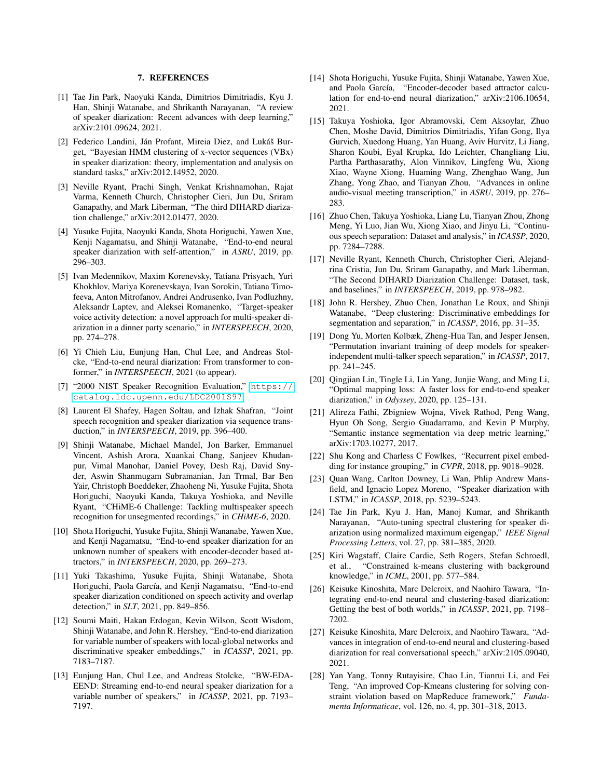### 7. REFERENCES

- <span id="page-6-0"></span>[1] Tae Jin Park, Naoyuki Kanda, Dimitrios Dimitriadis, Kyu J. Han, Shinji Watanabe, and Shrikanth Narayanan, "A review of speaker diarization: Recent advances with deep learning," arXiv:2101.09624, 2021.
- <span id="page-6-1"></span>[2] Federico Landini, Ján Profant, Mireia Diez, and Lukáš Burget, "Bayesian HMM clustering of x-vector sequences (VBx) in speaker diarization: theory, implementation and analysis on standard tasks," arXiv:2012.14952, 2020.
- <span id="page-6-2"></span>[3] Neville Ryant, Prachi Singh, Venkat Krishnamohan, Rajat Varma, Kenneth Church, Christopher Cieri, Jun Du, Sriram Ganapathy, and Mark Liberman, "The third DIHARD diarization challenge," arXiv:2012.01477, 2020.
- <span id="page-6-3"></span>[4] Yusuke Fujita, Naoyuki Kanda, Shota Horiguchi, Yawen Xue, Kenji Nagamatsu, and Shinji Watanabe, "End-to-end neural speaker diarization with self-attention," in *ASRU*, 2019, pp. 296–303.
- <span id="page-6-4"></span>[5] Ivan Medennikov, Maxim Korenevsky, Tatiana Prisyach, Yuri Khokhlov, Mariya Korenevskaya, Ivan Sorokin, Tatiana Timofeeva, Anton Mitrofanov, Andrei Andrusenko, Ivan Podluzhny, Aleksandr Laptev, and Aleksei Romanenko, "Target-speaker voice activity detection: a novel approach for multi-speaker diarization in a dinner party scenario," in *INTERSPEECH*, 2020, pp. 274–278.
- <span id="page-6-5"></span>[6] Yi Chieh Liu, Eunjung Han, Chul Lee, and Andreas Stolcke, "End-to-end neural diarization: From transformer to conformer," in *INTERSPEECH*, 2021 (to appear).
- <span id="page-6-6"></span>[7] "2000 NIST Speaker Recognition Evaluation," [https://](https://catalog.ldc.upenn.edu/LDC2001S97) [catalog.ldc.upenn.edu/LDC2001S97](https://catalog.ldc.upenn.edu/LDC2001S97).
- <span id="page-6-7"></span>[8] Laurent El Shafey, Hagen Soltau, and Izhak Shafran, "Joint speech recognition and speaker diarization via sequence transduction," in *INTERSPEECH*, 2019, pp. 396–400.
- <span id="page-6-8"></span>[9] Shinji Watanabe, Michael Mandel, Jon Barker, Emmanuel Vincent, Ashish Arora, Xuankai Chang, Sanjeev Khudanpur, Vimal Manohar, Daniel Povey, Desh Raj, David Snyder, Aswin Shanmugam Subramanian, Jan Trmal, Bar Ben Yair, Christoph Boeddeker, Zhaoheng Ni, Yusuke Fujita, Shota Horiguchi, Naoyuki Kanda, Takuya Yoshioka, and Neville Ryant, "CHiME-6 Challenge: Tackling multispeaker speech recognition for unsegmented recordings," in *CHiME-6*, 2020.
- <span id="page-6-9"></span>[10] Shota Horiguchi, Yusuke Fujita, Shinji Wananabe, Yawen Xue, and Kenji Nagamatsu, "End-to-end speaker diarization for an unknown number of speakers with encoder-decoder based attractors," in *INTERSPEECH*, 2020, pp. 269–273.
- <span id="page-6-10"></span>[11] Yuki Takashima, Yusuke Fujita, Shinji Watanabe, Shota Horiguchi, Paola García, and Kenji Nagamatsu, "End-to-end speaker diarization conditioned on speech activity and overlap detection," in *SLT*, 2021, pp. 849–856.
- <span id="page-6-11"></span>[12] Soumi Maiti, Hakan Erdogan, Kevin Wilson, Scott Wisdom, Shinji Watanabe, and John R. Hershey, "End-to-end diarization for variable number of speakers with local-global networks and discriminative speaker embeddings," in *ICASSP*, 2021, pp. 7183–7187.
- <span id="page-6-12"></span>[13] Eunjung Han, Chul Lee, and Andreas Stolcke, "BW-EDA-EEND: Streaming end-to-end neural speaker diarization for a variable number of speakers," in *ICASSP*, 2021, pp. 7193– 7197.
- <span id="page-6-13"></span>[14] Shota Horiguchi, Yusuke Fujita, Shinji Watanabe, Yawen Xue, and Paola García, "Encoder-decoder based attractor calculation for end-to-end neural diarization," arXiv:2106.10654, 2021.
- <span id="page-6-14"></span>[15] Takuya Yoshioka, Igor Abramovski, Cem Aksoylar, Zhuo Chen, Moshe David, Dimitrios Dimitriadis, Yifan Gong, Ilya Gurvich, Xuedong Huang, Yan Huang, Aviv Hurvitz, Li Jiang, Sharon Koubi, Eyal Krupka, Ido Leichter, Changliang Liu, Partha Parthasarathy, Alon Vinnikov, Lingfeng Wu, Xiong Xiao, Wayne Xiong, Huaming Wang, Zhenghao Wang, Jun Zhang, Yong Zhao, and Tianyan Zhou, "Advances in online audio-visual meeting transcription," in *ASRU*, 2019, pp. 276– 283.
- <span id="page-6-15"></span>[16] Zhuo Chen, Takuya Yoshioka, Liang Lu, Tianyan Zhou, Zhong Meng, Yi Luo, Jian Wu, Xiong Xiao, and Jinyu Li, "Continuous speech separation: Dataset and analysis," in *ICASSP*, 2020, pp. 7284–7288.
- <span id="page-6-16"></span>[17] Neville Ryant, Kenneth Church, Christopher Cieri, Alejandrina Cristia, Jun Du, Sriram Ganapathy, and Mark Liberman, "The Second DIHARD Diarization Challenge: Dataset, task, and baselines," in *INTERSPEECH*, 2019, pp. 978–982.
- <span id="page-6-17"></span>[18] John R. Hershey, Zhuo Chen, Jonathan Le Roux, and Shinji Watanabe, "Deep clustering: Discriminative embeddings for segmentation and separation," in *ICASSP*, 2016, pp. 31–35.
- <span id="page-6-18"></span>[19] Dong Yu, Morten Kolbæk, Zheng-Hua Tan, and Jesper Jensen, "Permutation invariant training of deep models for speakerindependent multi-talker speech separation," in *ICASSP*, 2017, pp. 241–245.
- <span id="page-6-19"></span>[20] Qingjian Lin, Tingle Li, Lin Yang, Junjie Wang, and Ming Li, "Optimal mapping loss: A faster loss for end-to-end speaker diarization," in *Odyssey*, 2020, pp. 125–131.
- <span id="page-6-20"></span>[21] Alireza Fathi, Zbigniew Wojna, Vivek Rathod, Peng Wang, Hyun Oh Song, Sergio Guadarrama, and Kevin P Murphy, "Semantic instance segmentation via deep metric learning," arXiv:1703.10277, 2017.
- <span id="page-6-21"></span>[22] Shu Kong and Charless C Fowlkes, "Recurrent pixel embedding for instance grouping," in *CVPR*, 2018, pp. 9018–9028.
- <span id="page-6-22"></span>[23] Quan Wang, Carlton Downey, Li Wan, Phlip Andrew Mansfield, and Ignacio Lopez Moreno, "Speaker diarization with LSTM," in *ICASSP*, 2018, pp. 5239–5243.
- <span id="page-6-23"></span>[24] Tae Jin Park, Kyu J. Han, Manoj Kumar, and Shrikanth Narayanan, "Auto-tuning spectral clustering for speaker diarization using normalized maximum eigengap," *IEEE Signal Processing Letters*, vol. 27, pp. 381–385, 2020.
- <span id="page-6-24"></span>[25] Kiri Wagstaff, Claire Cardie, Seth Rogers, Stefan Schroedl, et al., "Constrained k-means clustering with background knowledge," in *ICML*, 2001, pp. 577–584.
- <span id="page-6-25"></span>[26] Keisuke Kinoshita, Marc Delcroix, and Naohiro Tawara, "Integrating end-to-end neural and clustering-based diarization: Getting the best of both worlds," in *ICASSP*, 2021, pp. 7198– 7202.
- <span id="page-6-26"></span>[27] Keisuke Kinoshita, Marc Delcroix, and Naohiro Tawara, "Advances in integration of end-to-end neural and clustering-based diarization for real conversational speech," arXiv:2105.09040, 2021.
- <span id="page-6-27"></span>[28] Yan Yang, Tonny Rutayisire, Chao Lin, Tianrui Li, and Fei Teng, "An improved Cop-Kmeans clustering for solving constraint violation based on MapReduce framework," *Fundamenta Informaticae*, vol. 126, no. 4, pp. 301–318, 2013.